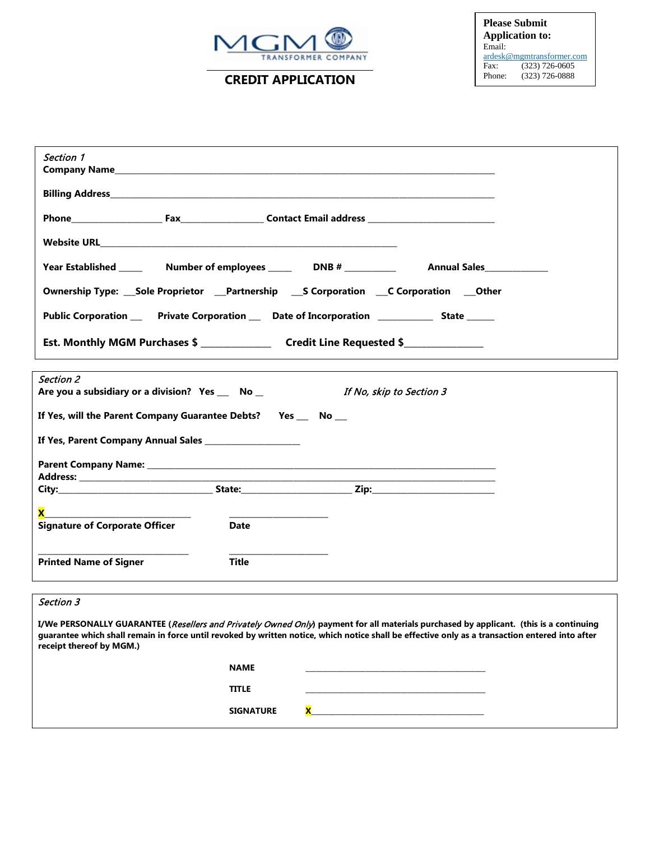

**CREDIT APPLICATION**

| Section 1                                                                                                                                                                                                                                                                                                             |              |                          |  |
|-----------------------------------------------------------------------------------------------------------------------------------------------------------------------------------------------------------------------------------------------------------------------------------------------------------------------|--------------|--------------------------|--|
|                                                                                                                                                                                                                                                                                                                       |              |                          |  |
|                                                                                                                                                                                                                                                                                                                       |              |                          |  |
|                                                                                                                                                                                                                                                                                                                       |              |                          |  |
|                                                                                                                                                                                                                                                                                                                       |              |                          |  |
| Ownership Type: Sole Proprietor Partnership SCorporation CCorporation Other                                                                                                                                                                                                                                           |              |                          |  |
| Public Corporation _____ Private Corporation ____ Date of Incorporation _____________ State ______                                                                                                                                                                                                                    |              |                          |  |
|                                                                                                                                                                                                                                                                                                                       |              |                          |  |
| <b>Section 2</b><br>Are you a subsidiary or a division? Yes _ No_                                                                                                                                                                                                                                                     |              | If No, skip to Section 3 |  |
| If Yes, will the Parent Company Guarantee Debts?   Yes ___ No __                                                                                                                                                                                                                                                      |              |                          |  |
| If Yes, Parent Company Annual Sales                                                                                                                                                                                                                                                                                   |              |                          |  |
|                                                                                                                                                                                                                                                                                                                       |              |                          |  |
|                                                                                                                                                                                                                                                                                                                       |              |                          |  |
|                                                                                                                                                                                                                                                                                                                       |              |                          |  |
| <b>Signature of Corporate Officer</b>                                                                                                                                                                                                                                                                                 | Date         |                          |  |
| <b>Printed Name of Signer</b>                                                                                                                                                                                                                                                                                         | <b>Title</b> |                          |  |
| Section 3                                                                                                                                                                                                                                                                                                             |              |                          |  |
| I/We PERSONALLY GUARANTEE (Resellers and Privately Owned Only) payment for all materials purchased by applicant. (this is a continuing<br>guarantee which shall remain in force until revoked by written notice, which notice shall be effective only as a transaction entered into after<br>receipt thereof by MGM.) |              |                          |  |

| <b>NAME</b>      |  |
|------------------|--|
| <b>TITLE</b>     |  |
| <b>SIGNATURE</b> |  |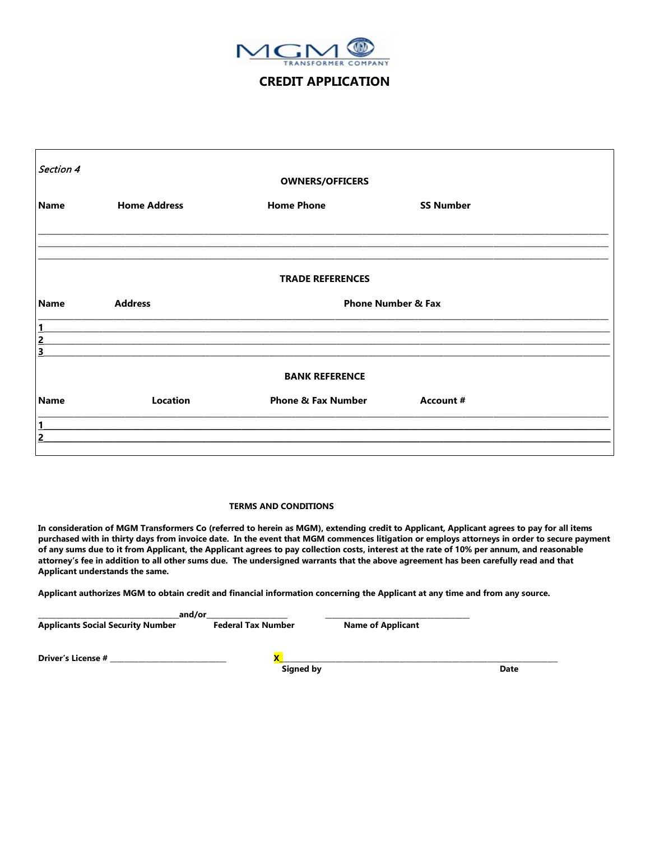

## **CREDIT APPLICATION**

| Section 4      |                     |                               |                               |  |
|----------------|---------------------|-------------------------------|-------------------------------|--|
|                |                     | <b>OWNERS/OFFICERS</b>        |                               |  |
| <b>Name</b>    | <b>Home Address</b> | <b>Home Phone</b>             | <b>SS Number</b>              |  |
|                |                     |                               |                               |  |
|                |                     | <b>TRADE REFERENCES</b>       |                               |  |
| <b>Name</b>    | <b>Address</b>      |                               | <b>Phone Number &amp; Fax</b> |  |
| $\overline{1}$ |                     |                               |                               |  |
| $\overline{2}$ |                     |                               |                               |  |
| 3              |                     |                               |                               |  |
|                |                     | <b>BANK REFERENCE</b>         |                               |  |
| <b>Name</b>    | Location            | <b>Phone &amp; Fax Number</b> | Account #                     |  |
| 1              |                     |                               |                               |  |
| $\overline{2}$ |                     |                               |                               |  |
|                |                     |                               |                               |  |

## **TERMS AND CONDITIONS**

**In consideration of MGM Transformers Co (referred to herein as MGM), extending credit to Applicant, Applicant agrees to pay for all items purchased with in thirty days from invoice date. In the event that MGM commences litigation or employs attorneys in order to secure payment of any sums due to it from Applicant, the Applicant agrees to pay collection costs, interest at the rate of 10% per annum, and reasonable attorney's fee in addition to all other sums due. The undersigned warrants that the above agreement has been carefully read and that Applicant understands the same.**

**Applicant authorizes MGM to obtain credit and financial information concerning the Applicant at any time and from any source.**

| and/or                    |                          |      |  |
|---------------------------|--------------------------|------|--|
| <b>Federal Tax Number</b> | <b>Name of Applicant</b> |      |  |
|                           |                          |      |  |
| Signed by                 |                          | Date |  |
|                           |                          |      |  |